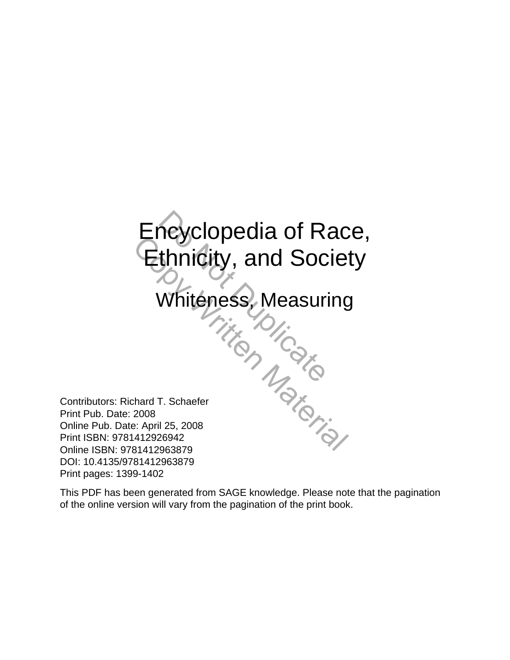# **Reyclopedia of R<br>thnicity, and Soc<br>Whiteness, Measur** Ethnicity, and Socie<br>
Whiteness, Measuring<br>
Whiteness, Measuring Encyclopedia of Race, Ethnicity, and Society

Whiteness, Measuring

Contributors: Richard T. Schaefer Print Pub. Date: 2008 Online Pub. Date: April 25, 2008 Print ISBN: 9781412926942 Online ISBN: 9781412963879 DOI: 10.4135/9781412963879 Print pages: 1399-1402

This PDF has been generated from SAGE knowledge. Please note that the pagination of the online version will vary from the pagination of the print book.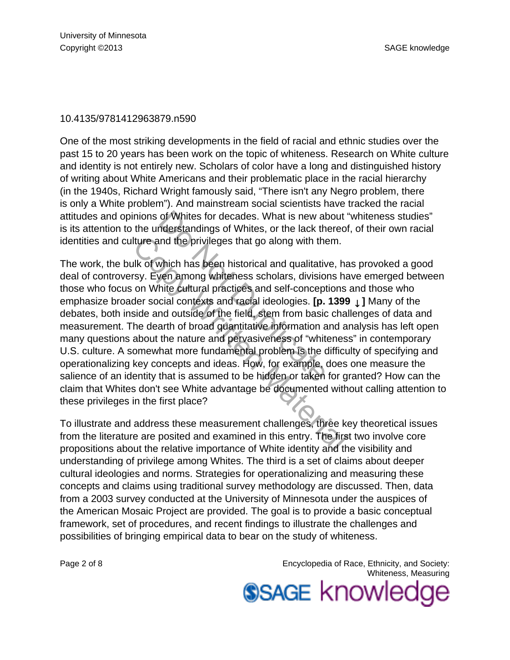#### 10.4135/9781412963879.n590

One of the most striking developments in the field of racial and ethnic studies over the past 15 to 20 years has been work on the topic of whiteness. Research on White culture and identity is not entirely new. Scholars of color have a long and distinguished history of writing about White Americans and their problematic place in the racial hierarchy (in the 1940s, Richard Wright famously said, "There isn't any Negro problem, there is only a White problem"). And mainstream social scientists have tracked the racial attitudes and opinions of Whites for decades. What is new about "whiteness studies" is its attention to the understandings of Whites, or the lack thereof, of their own racial identities and culture and the privileges that go along with them.

of Whites for decades. What is new at<br>nderstandings of Whites, or the lack th<br>nd the privileges that go along with the<br>which has been historical and qualitativ<br>ven among whiteness scholars, division<br>hite cultural practices Iture and the privileges that go along with them.<br>Ilk of which has been historical and qualitative, harsy. Even among whiteness scholars, divisions ha<br>on White cultural practices and self-conceptions<br>der social contexts an The work, the bulk of which has been historical and qualitative, has provoked a good deal of controversy. Even among whiteness scholars, divisions have emerged between those who focus on White cultural practices and self-conceptions and those who emphasize broader social contexts and racial ideologies. **[p. 1399** ↓ **]** Many of the debates, both inside and outside of the field, stem from basic challenges of data and measurement. The dearth of broad quantitative information and analysis has left open many questions about the nature and pervasiveness of "whiteness" in contemporary U.S. culture. A somewhat more fundamental problem is the difficulty of specifying and operationalizing key concepts and ideas. How, for example, does one measure the salience of an identity that is assumed to be hidden or taken for granted? How can the claim that Whites don't see White advantage be documented without calling attention to these privileges in the first place?

To illustrate and address these measurement challenges, three key theoretical issues from the literature are posited and examined in this entry. The first two involve core propositions about the relative importance of White identity and the visibility and understanding of privilege among Whites. The third is a set of claims about deeper cultural ideologies and norms. Strategies for operationalizing and measuring these concepts and claims using traditional survey methodology are discussed. Then, data from a 2003 survey conducted at the University of Minnesota under the auspices of the American Mosaic Project are provided. The goal is to provide a basic conceptual framework, set of procedures, and recent findings to illustrate the challenges and possibilities of bringing empirical data to bear on the study of whiteness.

Page 2 of 8 **Encyclopedia of Race, Ethnicity, and Society:** Encyclopedia of Race, Ethnicity, and Society: Whiteness, Measuring **SSAGE knowleds**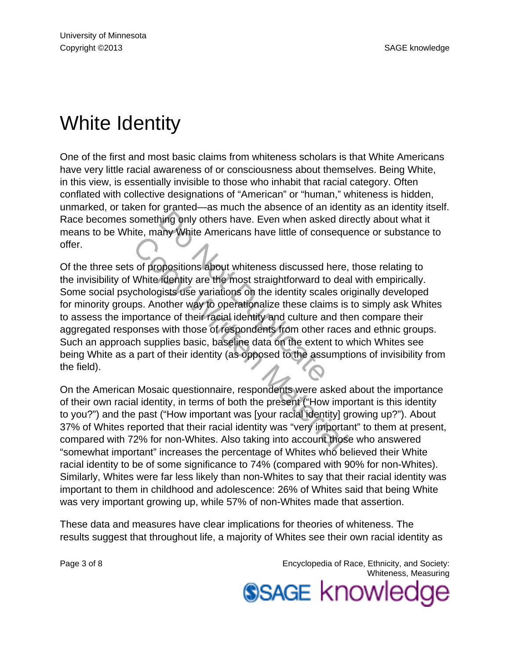#### White Identity

One of the first and most basic claims from whiteness scholars is that White Americans have very little racial awareness of or consciousness about themselves. Being White, in this view, is essentially invisible to those who inhabit that racial category. Often conflated with collective designations of "American" or "human," whiteness is hidden, unmarked, or taken for granted—as much the absence of an identity as an identity itself. Race becomes something only others have. Even when asked directly about what it means to be White, many White Americans have little of consequence or substance to offer.

Thing only others have. Even when asked any White Americans have little of constant white Americans have little of constrained in the most straightforward to distribute the most straightforward to distribute way to operati The Propositions about whiteness discussed here,<br>White identity are the most straightforward to deachologists use variations on the identity scales or<br>ps. Another way to operationalize these claims is<br>portance of their rac Of the three sets of propositions about whiteness discussed here, those relating to the invisibility of White identity are the most straightforward to deal with empirically. Some social psychologists use variations on the identity scales originally developed for minority groups. Another way to operationalize these claims is to simply ask Whites to assess the importance of their racial identity and culture and then compare their aggregated responses with those of respondents from other races and ethnic groups. Such an approach supplies basic, baseline data on the extent to which Whites see being White as a part of their identity (as opposed to the assumptions of invisibility from the field).

On the American Mosaic questionnaire, respondents were asked about the importance of their own racial identity, in terms of both the present ("How important is this identity to you?") and the past ("How important was [your racial identity] growing up?"). About 37% of Whites reported that their racial identity was "very important" to them at present, compared with 72% for non-Whites. Also taking into account those who answered "somewhat important" increases the percentage of Whites who believed their White racial identity to be of some significance to 74% (compared with 90% for non-Whites). Similarly, Whites were far less likely than non-Whites to say that their racial identity was important to them in childhood and adolescence: 26% of Whites said that being White was very important growing up, while 57% of non-Whites made that assertion.

These data and measures have clear implications for theories of whiteness. The results suggest that throughout life, a majority of Whites see their own racial identity as

Page 3 of 8 **Page 3 of 8** Encyclopedia of Race, Ethnicity, and Society: Whiteness, Measuring **SSAGE knowled**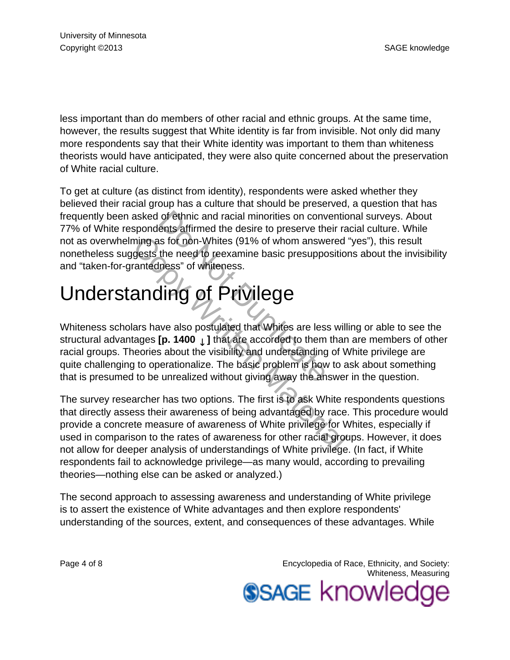less important than do members of other racial and ethnic groups. At the same time, however, the results suggest that White identity is far from invisible. Not only did many more respondents say that their White identity was important to them than whiteness theorists would have anticipated, they were also quite concerned about the preservation of White racial culture.

To get at culture (as distinct from identity), respondents were asked whether they believed their racial group has a culture that should be preserved, a question that has frequently been asked of ethnic and racial minorities on conventional surveys. About 77% of White respondents affirmed the desire to preserve their racial culture. While not as overwhelming as for non-Whites (91% of whom answered "yes"), this result nonetheless suggests the need to reexamine basic presuppositions about the invisibility and "taken-for-grantedness" of whiteness.

## Understanding of Privilege

Do Not Duplicate ming as for non-Whites (91% of whom answered<br>gests the need to reexamine basic presupposition<br>cantedness" of whiteness.<br>**ANDIPY OF PRIVILEGE**<br>ars have also postulated that Whites are less will<br>ages **[p. 1400**  $\downarrow$  **]** tha Whiteness scholars have also postulated that Whites are less willing or able to see the structural advantages **[p. 1400**  $\parallel$  ] that are accorded to them than are members of other racial groups. Theories about the visibility and understanding of White privilege are quite challenging to operationalize. The basic problem is how to ask about something that is presumed to be unrealized without giving away the answer in the question.

The survey researcher has two options. The first is to ask White respondents questions that directly assess their awareness of being advantaged by race. This procedure would provide a concrete measure of awareness of White privilege for Whites, especially if used in comparison to the rates of awareness for other racial groups. However, it does not allow for deeper analysis of understandings of White privilege. (In fact, if White respondents fail to acknowledge privilege—as many would, according to prevailing theories—nothing else can be asked or analyzed.)

The second approach to assessing awareness and understanding of White privilege is to assert the existence of White advantages and then explore respondents' understanding of the sources, extent, and consequences of these advantages. While

Page 4 of 8 **Page 4 of 8** Encyclopedia of Race, Ethnicity, and Society: Whiteness, Measuring **SSAGE knowled**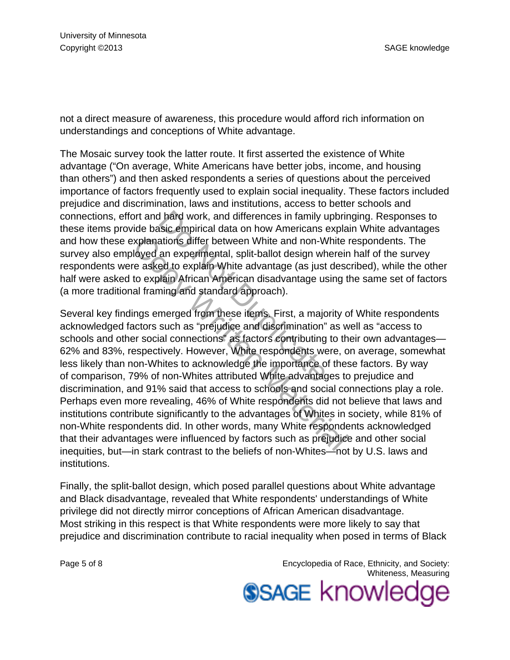not a direct measure of awareness, this procedure would afford rich information on understandings and conceptions of White advantage.

I hard work, and differences in family u<br>
isic empirical data on how Americans e<br>
ations differ between White and non-W<br>
an experimental, split-ballot design wh<br>
ed to explain White advantage (as just<br>
ilain African Americ The Mosaic survey took the latter route. It first asserted the existence of White advantage ("On average, White Americans have better jobs, income, and housing than others") and then asked respondents a series of questions about the perceived importance of factors frequently used to explain social inequality. These factors included prejudice and discrimination, laws and institutions, access to better schools and connections, effort and hard work, and differences in family upbringing. Responses to these items provide basic empirical data on how Americans explain White advantages and how these explanations differ between White and non-White respondents. The survey also employed an experimental, split-ballot design wherein half of the survey respondents were asked to explain White advantage (as just described), while the other half were asked to explain African American disadvantage using the same set of factors (a more traditional framing and standard approach).

xplanations differ between White and non-White<br>loyed an experimental, split-ballot design whereir<br>e asked to explain White advantage (as just desc<br>to explain African American disadvantage using t<br>al framing and standard ap Several key findings emerged from these items. First, a majority of White respondents acknowledged factors such as "prejudice and discrimination" as well as "access to schools and other social connections" as factors contributing to their own advantages— 62% and 83%, respectively. However, White respondents were, on average, somewhat less likely than non-Whites to acknowledge the importance of these factors. By way of comparison, 79% of non-Whites attributed White advantages to prejudice and discrimination, and 91% said that access to schools and social connections play a role. Perhaps even more revealing, 46% of White respondents did not believe that laws and institutions contribute significantly to the advantages of Whites in society, while 81% of non-White respondents did. In other words, many White respondents acknowledged that their advantages were influenced by factors such as prejudice and other social inequities, but—in stark contrast to the beliefs of non-Whites—not by U.S. laws and institutions.

Finally, the split-ballot design, which posed parallel questions about White advantage and Black disadvantage, revealed that White respondents' understandings of White privilege did not directly mirror conceptions of African American disadvantage. Most striking in this respect is that White respondents were more likely to say that prejudice and discrimination contribute to racial inequality when posed in terms of Black

Page 5 of 8 Encyclopedia of Race, Ethnicity, and Society: Whiteness, Measuring **SSAGE knowledge**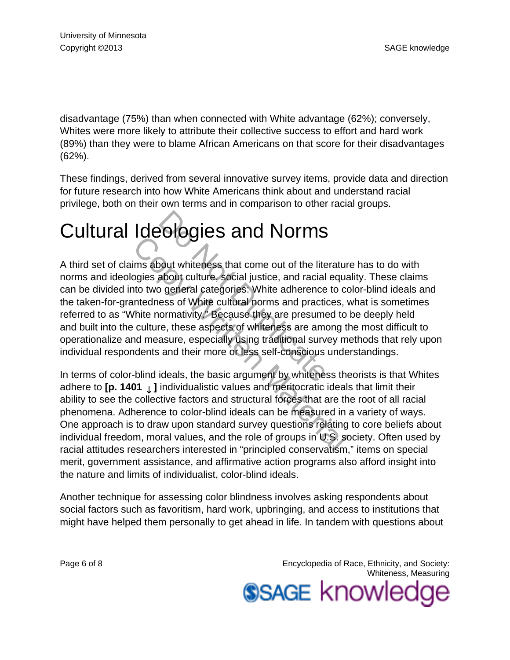disadvantage (75%) than when connected with White advantage (62%); conversely, Whites were more likely to attribute their collective success to effort and hard work (89%) than they were to blame African Americans on that score for their disadvantages (62%).

These findings, derived from several innovative survey items, provide data and direction for future research into how White Americans think about and understand racial privilege, both on their own terms and in comparison to other racial groups.

### Cultural Ideologies and Norms

**Ologies and Norms**<br>
Not whiteness that come out of the lite<br>
about culture, social justice, and racial<br>
Difference ess of White cultural norms and practic<br>
comativity." Because they are presume<br>
re, these aspects of white TRACTORYTED CITER TROTTITUS<br>
Instructions about whiteness that come out of the literatur<br>
pajes about culture, social justice, and racial equation<br>
the mormativity.<sup>9</sup> Because they are presumed to<br>
culture, these aspects o A third set of claims about whiteness that come out of the literature has to do with norms and ideologies about culture, social justice, and racial equality. These claims can be divided into two general categories: White adherence to color-blind ideals and the taken-for-grantedness of White cultural norms and practices, what is sometimes referred to as "White normativity." Because they are presumed to be deeply held and built into the culture, these aspects of whiteness are among the most difficult to operationalize and measure, especially using traditional survey methods that rely upon individual respondents and their more or less self-conscious understandings.

In terms of color-blind ideals, the basic argument by whiteness theorists is that Whites adhere to **[p. 1401** ↓ **]** individualistic values and meritocratic ideals that limit their ability to see the collective factors and structural forces that are the root of all racial phenomena. Adherence to color-blind ideals can be measured in a variety of ways. One approach is to draw upon standard survey questions relating to core beliefs about individual freedom, moral values, and the role of groups in U.S. society. Often used by racial attitudes researchers interested in "principled conservatism," items on special merit, government assistance, and affirmative action programs also afford insight into the nature and limits of individualist, color-blind ideals.

Another technique for assessing color blindness involves asking respondents about social factors such as favoritism, hard work, upbringing, and access to institutions that might have helped them personally to get ahead in life. In tandem with questions about

Page 6 of 8 **Page 6 of 8** Encyclopedia of Race, Ethnicity, and Society: Whiteness, Measuring **SSAGE knowled**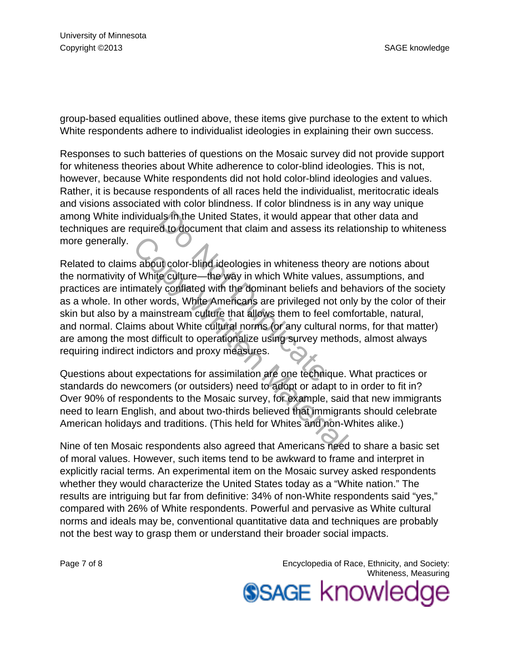group-based equalities outlined above, these items give purchase to the extent to which White respondents adhere to individualist ideologies in explaining their own success.

Responses to such batteries of questions on the Mosaic survey did not provide support for whiteness theories about White adherence to color-blind ideologies. This is not, however, because White respondents did not hold color-blind ideologies and values. Rather, it is because respondents of all races held the individualist, meritocratic ideals and visions associated with color blindness. If color blindness is in any way unique among White individuals in the United States, it would appear that other data and techniques are required to document that claim and assess its relationship to whiteness more generally.

als in the United States, it would appear of to document that claim and assess it<br>at color-blind ideologies in whiteness the culture—the way in which White valu<br>y conflated with the dominant beliefs at<br>ords, White American s about color-blind ideologies in whiteness theory<br>of White culture—the way in which White values, a<br>mately conflated with the dominant beliefs and be<br>her words, White Americans are privileged not or<br>a mainstream culture t Related to claims about color-blind ideologies in whiteness theory are notions about the normativity of White culture—the way in which White values, assumptions, and practices are intimately conflated with the dominant beliefs and behaviors of the society as a whole. In other words, White Americans are privileged not only by the color of their skin but also by a mainstream culture that allows them to feel comfortable, natural, and normal. Claims about White cultural norms (or any cultural norms, for that matter) are among the most difficult to operationalize using survey methods, almost always requiring indirect indictors and proxy measures.

Questions about expectations for assimilation are one technique. What practices or standards do newcomers (or outsiders) need to adopt or adapt to in order to fit in? Over 90% of respondents to the Mosaic survey, for example, said that new immigrants need to learn English, and about two-thirds believed that immigrants should celebrate American holidays and traditions. (This held for Whites and non-Whites alike.)

Nine of ten Mosaic respondents also agreed that Americans need to share a basic set of moral values. However, such items tend to be awkward to frame and interpret in explicitly racial terms. An experimental item on the Mosaic survey asked respondents whether they would characterize the United States today as a "White nation." The results are intriguing but far from definitive: 34% of non-White respondents said "yes," compared with 26% of White respondents. Powerful and pervasive as White cultural norms and ideals may be, conventional quantitative data and techniques are probably not the best way to grasp them or understand their broader social impacts.

Page 7 of 8 **Page 7 of 8** Encyclopedia of Race, Ethnicity, and Society: Whiteness, Measuring **SSAGE knowled**